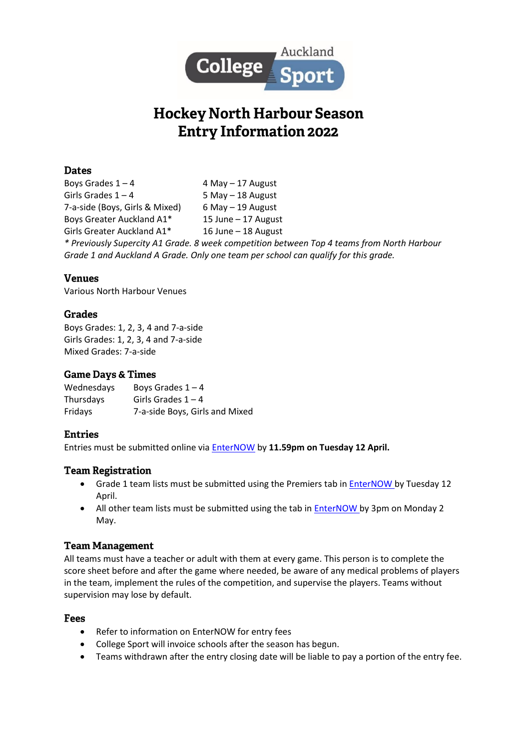

# **Hockey North Harbour Season Entry Information 2022**

# **Dates**

Boys Grades  $1 - 4$  4 May – 17 August Girls Grades  $1 - 4$  5 May – 18 August 7-a-side (Boys, Girls & Mixed) 6 May – 19 August Boys Greater Auckland A1\* 15 June – 17 August Girls Greater Auckland A1\* 16 June – 18 August *\* Previously Supercity A1 Grade. 8 week competition between Top 4 teams from North Harbour Grade 1 and Auckland A Grade. Only one team per school can qualify for this grade.*

# **Venues**

Various North Harbour Venues

### Grades

Boys Grades: 1, 2, 3, 4 and 7-a-side Girls Grades: 1, 2, 3, 4 and 7-a-side Mixed Grades: 7-a-side

#### **Game Days & Times**

| Wednesdays | Boys Grades $1 - 4$            |
|------------|--------------------------------|
| Thursdays  | Girls Grades $1 - 4$           |
| Fridays    | 7-a-side Boys, Girls and Mixed |

### **Entries**

Entries must be submitted online via [EnterNOW](https://www.enternow.co.nz/enternow-app/collegesportauckland/entries) by **11.59pm on Tuesday 12 April.**

### **Team Registration**

- Grade 1 team lists must be submitted using the Premiers tab in **EnterNOW** by Tuesday 12 April.
- All other team lists must be submitted using the tab in **EnterNOW** by 3pm on Monday 2 May.

### **Team Management**

All teams must have a teacher or adult with them at every game. This person is to complete the score sheet before and after the game where needed, be aware of any medical problems of players in the team, implement the rules of the competition, and supervise the players. Teams without supervision may lose by default.

- Refer to information on EnterNOW for entry fees
- College Sport will invoice schools after the season has begun.
- Teams withdrawn after the entry closing date will be liable to pay a portion of the entry fee.